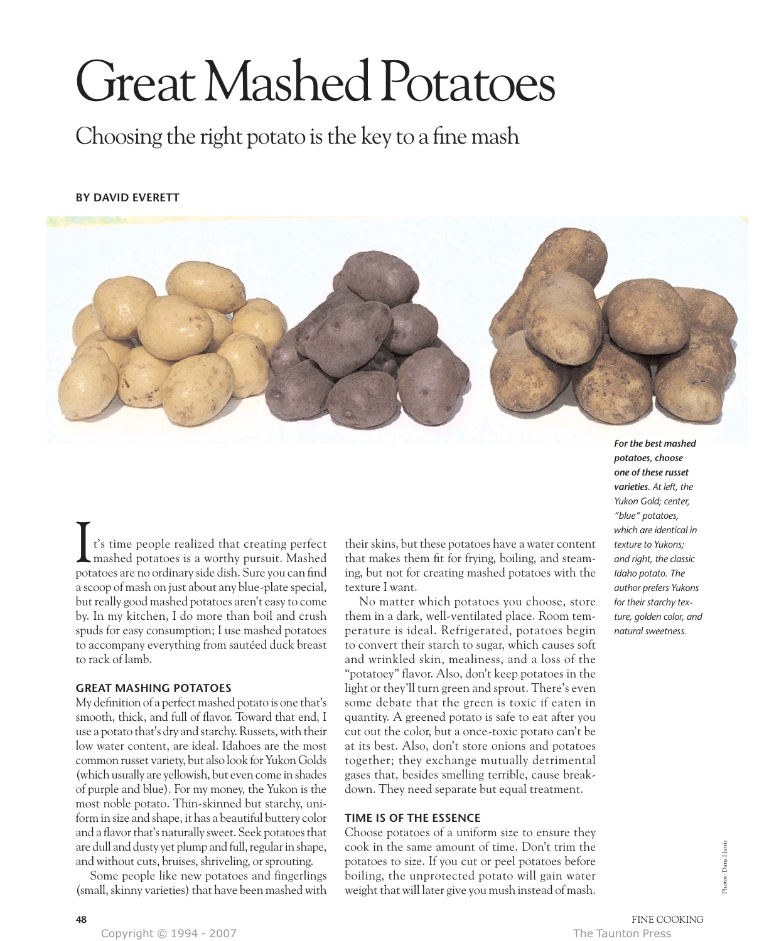# Great Mashed Potatoes

Choosing the right potato is the key to a fine mash

# **BY DAVID EVERETT**



t's time people realized that creating perfect mashed potatoes is a worthy pursuit. Mashed potatoes are no ordinary side dish. Sure you can find a scoop of mash on just about any blue-plate special, but really good mashed potatoes aren't easy to come by. In my kitchen, I do more than boil and crush spuds for easy consumption; I use mashed potatoes to accompany everything from sautéed duck breast to rack of lamb. I

# **GREAT MASHING POTATOES**

My definition of a perfect mashed potato is one that's smooth, thick, and full of flavor. Toward that end, I use a potato that's dry and starchy. Russets, with their low water content, are ideal. Idahoes are the most common russet variety, but also look for Yukon Golds (which usually are yellowish, but even come in shades of purple and blue). For my money, the Yukon is the most noble potato. Thin-skinned but starchy, uniform in size and shape, it has a beautiful buttery color and a flavor that's naturally sweet. Seek potatoes that are dull and dusty yet plump and full, regular in shape, and without cuts, bruises, shriveling, or sprouting.

Some people like new potatoes and fingerlings (small, skinny varieties) that have been mashed with

their skins, but these potatoes have a water content that makes them fit for frying, boiling, and steaming, but not for creating mashed potatoes with the texture I want.

No matter which potatoes you choose, store them in a dark, well-ventilated place. Room temperature is ideal. Refrigerated, potatoes begin to convert their starch to sugar, which causes soft and wrinkled skin, mealiness, and a loss of the "potatoey" flavor. Also, don't keep potatoes in the light or they'll turn green and sprout. There's even some debate that the green is toxic if eaten in quantity. A greened potato is safe to eat after you cut out the color, but a once-toxic potato can't be at its best. Also, don't store onions and potatoes together; they exchange mutually detrimental gases that, besides smelling terrible, cause breakdown. They need separate but equal treatment.

# **TIME IS OF THE ESSENCE**

Choose potatoes of a uniform size to ensure they cook in the same amount of time. Don't trim the potatoes to size. If you cut or peel potatoes before boiling, the unprotected potato will gain water weight that will later give you mush instead of mash.

*potatoes, choose one of these russet varieties. At left, the Yukon Gold; center, "blue" potatoes, which are identical in texture to Yukons; and right, the classic Idaho potato. The author prefers Yukons for their starchy texture, golden color, and natural sweetness.*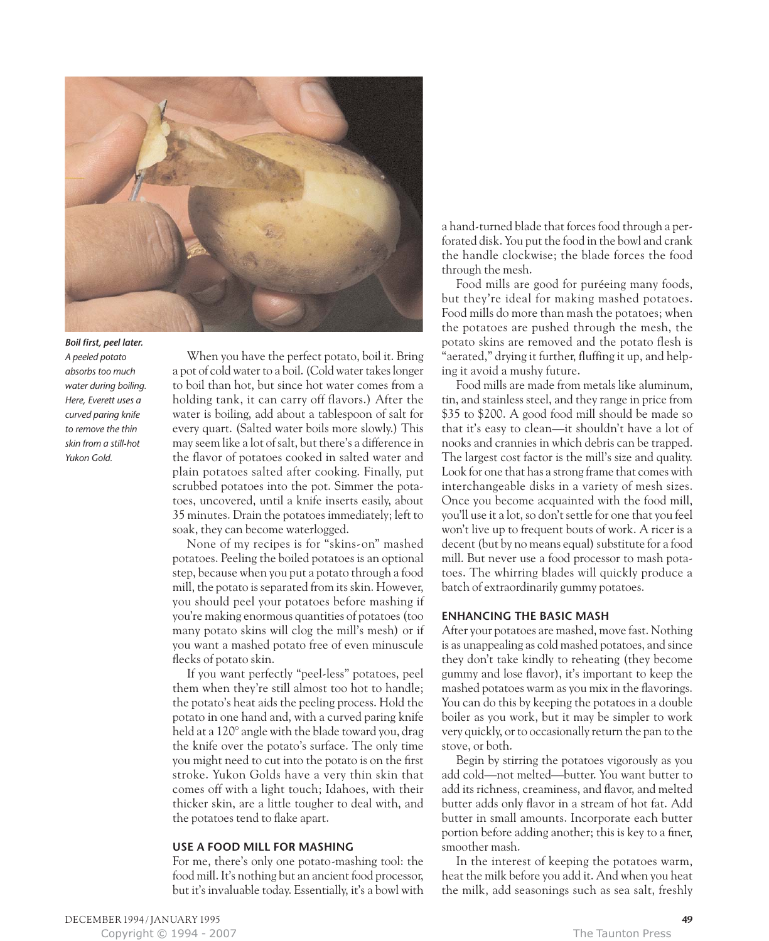

### *Boil first, peel later.*

*A peeled potato absorbs too much water during boiling. Here, Everett uses a curved paring knife to remove the thin skin from a still-hot Yukon Gold.* 

When you have the perfect potato, boil it. Bring a pot of cold water to a boil. (Cold water takes longer to boil than hot, but since hot water comes from a holding tank, it can carry off flavors.) After the water is boiling, add about a tablespoon of salt for every quart. (Salted water boils more slowly.) This may seem like a lot of salt, but there's a difference in the flavor of potatoes cooked in salted water and plain potatoes salted after cooking. Finally, put scrubbed potatoes into the pot. Simmer the potatoes, uncovered, until a knife inserts easily, about 35 minutes. Drain the potatoes immediately; left to soak, they can become waterlogged.

None of my recipes is for "skins-on" mashed potatoes. Peeling the boiled potatoes is an optional step, because when you put a potato through a food mill, the potato is separated from its skin. However, you should peel your potatoes before mashing if you're making enormous quantities of potatoes (too many potato skins will clog the mill's mesh) or if you want a mashed potato free of even minuscule flecks of potato skin.

If you want perfectly "peel-less" potatoes, peel them when they're still almost too hot to handle; the potato's heat aids the peeling process. Hold the potato in one hand and, with a curved paring knife held at a 120° angle with the blade toward you, drag the knife over the potato's surface. The only time you might need to cut into the potato is on the first stroke. Yukon Golds have a very thin skin that comes off with a light touch; Idahoes, with their thicker skin, are a little tougher to deal with, and the potatoes tend to flake apart.

### **USE A FOOD MILL FOR MASHING**

For me, there's only one potato-mashing tool: the food mill. It's nothing but an ancient food processor, but it's invaluable today. Essentially, it's a bowl with

a hand-turned blade that forces food through a perforated disk. You put the food in the bowl and crank the handle clockwise; the blade forces the food through the mesh.

Food mills are good for puréeing many foods, but they're ideal for making mashed potatoes. Food mills do more than mash the potatoes; when the potatoes are pushed through the mesh, the potato skins are removed and the potato flesh is "aerated," drying it further, fluffing it up, and helping it avoid a mushy future.

Food mills are made from metals like aluminum, tin, and stainless steel, and they range in price from \$35 to \$200. A good food mill should be made so that it's easy to clean—it shouldn't have a lot of nooks and crannies in which debris can be trapped. The largest cost factor is the mill's size and quality. Look for one that has a strong frame that comes with interchangeable disks in a variety of mesh sizes. Once you become acquainted with the food mill, you'll use it a lot, so don't settle for one that you feel won't live up to frequent bouts of work. A ricer is a decent (but by no means equal) substitute for a food mill. But never use a food processor to mash potatoes. The whirring blades will quickly produce a batch of extraordinarily gummy potatoes.

# **ENHANCING THE BASIC MASH**

After your potatoes are mashed, move fast. Nothing is as unappealing as cold mashed potatoes, and since they don't take kindly to reheating (they become gummy and lose flavor), it's important to keep the mashed potatoes warm as you mix in the flavorings. You can do this by keeping the potatoes in a double boiler as you work, but it may be simpler to work very quickly, or to occasionally return the pan to the stove, or both.

Begin by stirring the potatoes vigorously as you add cold—not melted—butter. You want butter to add its richness, creaminess, and flavor, and melted butter adds only flavor in a stream of hot fat. Add butter in small amounts. Incorporate each butter portion before adding another; this is key to a finer, smoother mash.

In the interest of keeping the potatoes warm, heat the milk before you add it. And when you heat the milk, add seasonings such as sea salt, freshly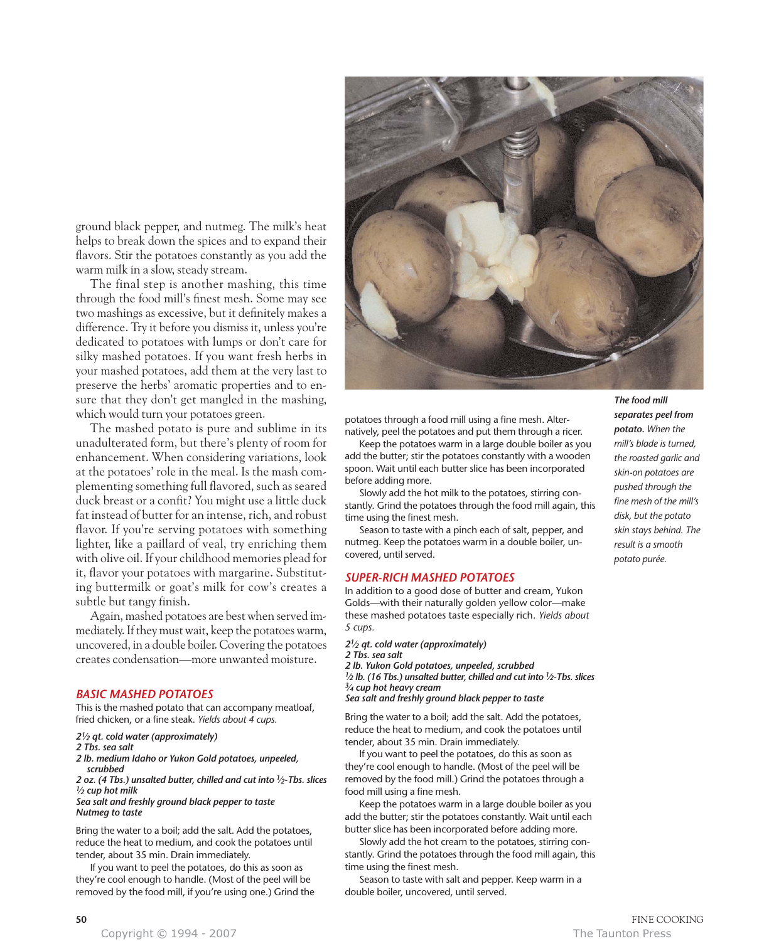potatoes through a food mill using a fine mesh. Alternatively, peel the potatoes and put them through a ricer.

Keep the potatoes warm in a large double boiler as you add the butter; stir the potatoes constantly with a wooden spoon. Wait until each butter slice has been incorporated before adding more.

Slowly add the hot milk to the potatoes, stirring constantly. Grind the potatoes through the food mill again, this time using the finest mesh.

Season to taste with a pinch each of salt, pepper, and nutmeg. Keep the potatoes warm in a double boiler, uncovered, until served.

## *SUPER-RICH MASHED POTATOES*

In addition to a good dose of butter and cream, Yukon Golds—with their naturally golden yellow color—make these mashed potatoes taste especially rich. *Yields about 5 cups.*

*21⁄2 qt. cold water (approximately)*

*2 Tbs. sea salt*

*2 lb. Yukon Gold potatoes, unpeeled, scrubbed 1⁄2 lb. (16 Tbs.) unsalted butter, chilled and cut into 1⁄2-Tbs. slices 3⁄4 cup hot heavy cream*

*Sea salt and freshly ground black pepper to taste*

Bring the water to a boil; add the salt. Add the potatoes, reduce the heat to medium, and cook the potatoes until tender, about 35 min. Drain immediately.

If you want to peel the potatoes, do this as soon as they're cool enough to handle. (Most of the peel will be removed by the food mill.) Grind the potatoes through a food mill using a fine mesh.

Keep the potatoes warm in a large double boiler as you add the butter; stir the potatoes constantly. Wait until each butter slice has been incorporated before adding more.

Slowly add the hot cream to the potatoes, stirring constantly. Grind the potatoes through the food mill again, this time using the finest mesh.

Season to taste with salt and pepper. Keep warm in a double boiler, uncovered, until served.

*The food mill separates peel from potato. When the mill's blade is turned, the roasted garlic and skin-on potatoes are pushed through the fine mesh of the mill's disk, but the potato skin stays behind. The result is a smooth potato purée.*

ground black pepper, and nutmeg. The milk's heat helps to break down the spices and to expand their flavors. Stir the potatoes constantly as you add the warm milk in a slow, steady stream.

The final step is another mashing, this time through the food mill's finest mesh. Some may see two mashings as excessive, but it definitely makes a difference. Try it before you dismiss it, unless you're dedicated to potatoes with lumps or don't care for silky mashed potatoes. If you want fresh herbs in your mashed potatoes, add them at the very last to preserve the herbs' aromatic properties and to ensure that they don't get mangled in the mashing, which would turn your potatoes green.

The mashed potato is pure and sublime in its unadulterated form, but there's plenty of room for enhancement. When considering variations, look at the potatoes' role in the meal. Is the mash complementing something full flavored, such as seared duck breast or a confit? You might use a little duck fat instead of butter for an intense, rich, and robust flavor. If you're serving potatoes with something lighter, like a paillard of veal, try enriching them with olive oil. If your childhood memories plead for it, flavor your potatoes with margarine. Substituting buttermilk or goat's milk for cow's creates a subtle but tangy finish.

Again, mashed potatoes are best when served immediately. If they must wait, keep the potatoes warm, uncovered, in a double boiler. Covering the potatoes creates condensation—more unwanted moisture.

# *BASIC MASHED POTATOES*

This is the mashed potato that can accompany meatloaf, fried chicken, or a fine steak. *Yields about 4 cups.*

# *21⁄2 qt. cold water (approximately)*

## *2 Tbs. sea salt*

- *2 lb. medium Idaho or Yukon Gold potatoes, unpeeled, scrubbed*
- *2 oz. (4 Tbs.) unsalted butter, chilled and cut into 1⁄2-Tbs. slices*

*1⁄2 cup hot milk*

## *Sea salt and freshly ground black pepper to taste Nutmeg to taste*

Bring the water to a boil; add the salt. Add the potatoes, reduce the heat to medium, and cook the potatoes until tender, about 35 min. Drain immediately.

If you want to peel the potatoes, do this as soon as they're cool enough to handle. (Most of the peel will be removed by the food mill, if you're using one.) Grind the